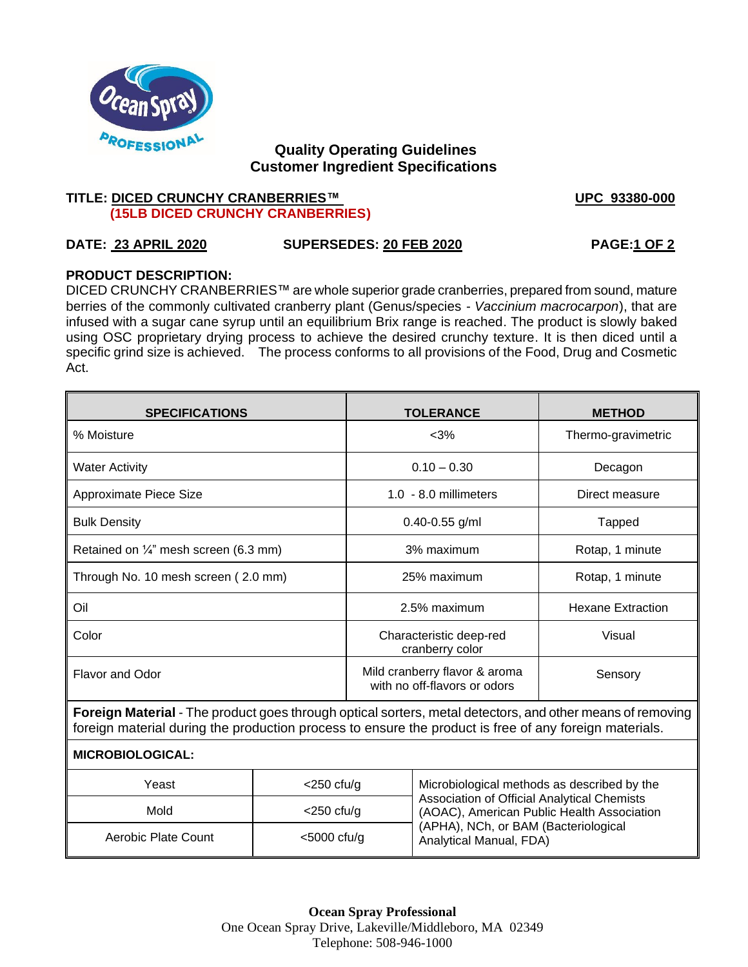

## **Quality Operating Guidelines Customer Ingredient Specifications**

### **TITLE: DICED CRUNCHY CRANBERRIES™** VPC 93380-000  **(15LB DICED CRUNCHY CRANBERRIES)**

# **DATE: 23 APRIL 2020 SUPERSEDES: 20 FEB 2020 PAGE:1 OF 2**

## **PRODUCT DESCRIPTION:**

DICED CRUNCHY CRANBERRIES™ are whole superior grade cranberries, prepared from sound, mature berries of the commonly cultivated cranberry plant (Genus/species - *Vaccinium macrocarpon*), that are infused with a sugar cane syrup until an equilibrium Brix range is reached. The product is slowly baked using OSC proprietary drying process to achieve the desired crunchy texture. It is then diced until a specific grind size is achieved. The process conforms to all provisions of the Food, Drug and Cosmetic Act.

| <b>SPECIFICATIONS</b>                                                                                                                                                                                               |                | <b>TOLERANCE</b>                                              |                                                                                                                                                                                                             | <b>METHOD</b>            |  |
|---------------------------------------------------------------------------------------------------------------------------------------------------------------------------------------------------------------------|----------------|---------------------------------------------------------------|-------------------------------------------------------------------------------------------------------------------------------------------------------------------------------------------------------------|--------------------------|--|
| % Moisture                                                                                                                                                                                                          |                | $<$ 3%                                                        |                                                                                                                                                                                                             | Thermo-gravimetric       |  |
| <b>Water Activity</b>                                                                                                                                                                                               |                | $0.10 - 0.30$                                                 |                                                                                                                                                                                                             | Decagon                  |  |
| Approximate Piece Size                                                                                                                                                                                              |                | $1.0 - 8.0$ millimeters                                       |                                                                                                                                                                                                             | Direct measure           |  |
| <b>Bulk Density</b>                                                                                                                                                                                                 |                | $0.40 - 0.55$ g/ml                                            |                                                                                                                                                                                                             | Tapped                   |  |
| Retained on $\frac{1}{4}$ " mesh screen (6.3 mm)                                                                                                                                                                    |                | 3% maximum                                                    |                                                                                                                                                                                                             | Rotap, 1 minute          |  |
| Through No. 10 mesh screen (2.0 mm)                                                                                                                                                                                 |                | 25% maximum                                                   |                                                                                                                                                                                                             | Rotap, 1 minute          |  |
| Oil                                                                                                                                                                                                                 |                | 2.5% maximum                                                  |                                                                                                                                                                                                             | <b>Hexane Extraction</b> |  |
| Color                                                                                                                                                                                                               |                | Characteristic deep-red<br>cranberry color                    |                                                                                                                                                                                                             | Visual                   |  |
| <b>Flavor and Odor</b>                                                                                                                                                                                              |                | Mild cranberry flavor & aroma<br>with no off-flavors or odors |                                                                                                                                                                                                             | Sensory                  |  |
| Foreign Material - The product goes through optical sorters, metal detectors, and other means of removing<br>foreign material during the production process to ensure the product is free of any foreign materials. |                |                                                               |                                                                                                                                                                                                             |                          |  |
| <b>MICROBIOLOGICAL:</b>                                                                                                                                                                                             |                |                                                               |                                                                                                                                                                                                             |                          |  |
| Yeast                                                                                                                                                                                                               | $<$ 250 cfu/g  |                                                               | Microbiological methods as described by the<br>Association of Official Analytical Chemists<br>(AOAC), American Public Health Association<br>(APHA), NCh, or BAM (Bacteriological<br>Analytical Manual, FDA) |                          |  |
| Mold                                                                                                                                                                                                                | $<$ 250 cfu/g  |                                                               |                                                                                                                                                                                                             |                          |  |
| Aerobic Plate Count                                                                                                                                                                                                 | $<$ 5000 cfu/g |                                                               |                                                                                                                                                                                                             |                          |  |